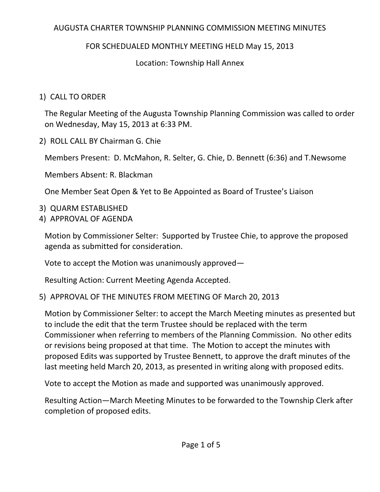## AUGUSTA CHARTER TOWNSHIP PLANNING COMMISSION MEETING MINUTES

# FOR SCHEDUALED MONTHLY MEETING HELD May 15, 2013

# Location: Township Hall Annex

# 1) CALL TO ORDER

The Regular Meeting of the Augusta Township Planning Commission was called to order on Wednesday, May 15, 2013 at 6:33 PM.

2) ROLL CALL BY Chairman G. Chie

Members Present: D. McMahon, R. Selter, G. Chie, D. Bennett (6:36) and T.Newsome

Members Absent: R. Blackman

One Member Seat Open & Yet to Be Appointed as Board of Trustee's Liaison

- 3) QUARM ESTABLISHED
- 4) APPROVAL OF AGENDA

Motion by Commissioner Selter: Supported by Trustee Chie, to approve the proposed agenda as submitted for consideration.

Vote to accept the Motion was unanimously approved—

Resulting Action: Current Meeting Agenda Accepted.

# 5) APPROVAL OF THE MINUTES FROM MEETING OF March 20, 2013

Motion by Commissioner Selter: to accept the March Meeting minutes as presented but to include the edit that the term Trustee should be replaced with the term Commissioner when referring to members of the Planning Commission. No other edits or revisions being proposed at that time. The Motion to accept the minutes with proposed Edits was supported by Trustee Bennett, to approve the draft minutes of the last meeting held March 20, 2013, as presented in writing along with proposed edits.

Vote to accept the Motion as made and supported was unanimously approved.

Resulting Action—March Meeting Minutes to be forwarded to the Township Clerk after completion of proposed edits.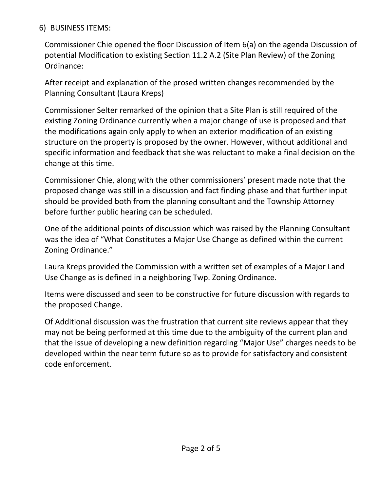### 6) BUSINESS ITEMS:

Commissioner Chie opened the floor Discussion of Item 6(a) on the agenda Discussion of potential Modification to existing Section 11.2 A.2 (Site Plan Review) of the Zoning Ordinance:

After receipt and explanation of the prosed written changes recommended by the Planning Consultant (Laura Kreps)

Commissioner Selter remarked of the opinion that a Site Plan is still required of the existing Zoning Ordinance currently when a major change of use is proposed and that the modifications again only apply to when an exterior modification of an existing structure on the property is proposed by the owner. However, without additional and specific information and feedback that she was reluctant to make a final decision on the change at this time.

Commissioner Chie, along with the other commissioners' present made note that the proposed change was still in a discussion and fact finding phase and that further input should be provided both from the planning consultant and the Township Attorney before further public hearing can be scheduled.

One of the additional points of discussion which was raised by the Planning Consultant was the idea of "What Constitutes a Major Use Change as defined within the current Zoning Ordinance."

Laura Kreps provided the Commission with a written set of examples of a Major Land Use Change as is defined in a neighboring Twp. Zoning Ordinance.

Items were discussed and seen to be constructive for future discussion with regards to the proposed Change.

Of Additional discussion was the frustration that current site reviews appear that they may not be being performed at this time due to the ambiguity of the current plan and that the issue of developing a new definition regarding "Major Use" charges needs to be developed within the near term future so as to provide for satisfactory and consistent code enforcement.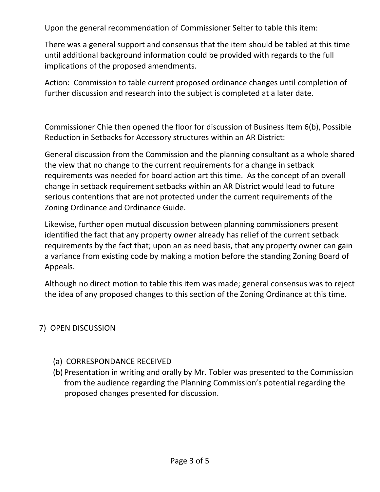Upon the general recommendation of Commissioner Selter to table this item:

There was a general support and consensus that the item should be tabled at this time until additional background information could be provided with regards to the full implications of the proposed amendments.

Action: Commission to table current proposed ordinance changes until completion of further discussion and research into the subject is completed at a later date.

Commissioner Chie then opened the floor for discussion of Business Item 6(b), Possible Reduction in Setbacks for Accessory structures within an AR District:

General discussion from the Commission and the planning consultant as a whole shared the view that no change to the current requirements for a change in setback requirements was needed for board action art this time. As the concept of an overall change in setback requirement setbacks within an AR District would lead to future serious contentions that are not protected under the current requirements of the Zoning Ordinance and Ordinance Guide.

Likewise, further open mutual discussion between planning commissioners present identified the fact that any property owner already has relief of the current setback requirements by the fact that; upon an as need basis, that any property owner can gain a variance from existing code by making a motion before the standing Zoning Board of Appeals.

Although no direct motion to table this item was made; general consensus was to reject the idea of any proposed changes to this section of the Zoning Ordinance at this time.

#### 7) OPEN DISCUSSION

#### (a) CORRESPONDANCE RECEIVED

(b) Presentation in writing and orally by Mr. Tobler was presented to the Commission from the audience regarding the Planning Commission's potential regarding the proposed changes presented for discussion.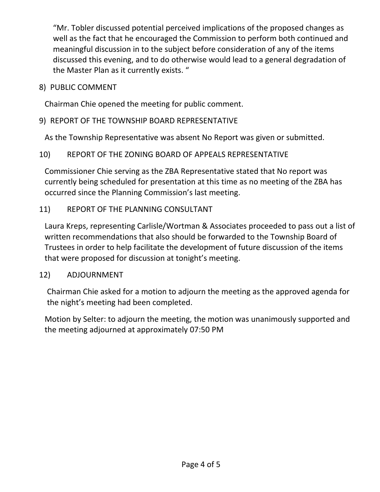"Mr. Tobler discussed potential perceived implications of the proposed changes as well as the fact that he encouraged the Commission to perform both continued and meaningful discussion in to the subject before consideration of any of the items discussed this evening, and to do otherwise would lead to a general degradation of the Master Plan as it currently exists. "

8) PUBLIC COMMENT

Chairman Chie opened the meeting for public comment.

### 9) REPORT OF THE TOWNSHIP BOARD REPRESENTATIVE

As the Township Representative was absent No Report was given or submitted.

## 10) REPORT OF THE ZONING BOARD OF APPEALS REPRESENTATIVE

Commissioner Chie serving as the ZBA Representative stated that No report was currently being scheduled for presentation at this time as no meeting of the ZBA has occurred since the Planning Commission's last meeting.

## 11) REPORT OF THE PLANNING CONSULTANT

Laura Kreps, representing Carlisle/Wortman & Associates proceeded to pass out a list of written recommendations that also should be forwarded to the Township Board of Trustees in order to help facilitate the development of future discussion of the items that were proposed for discussion at tonight's meeting.

#### 12) ADJOURNMENT

Chairman Chie asked for a motion to adjourn the meeting as the approved agenda for the night's meeting had been completed.

Motion by Selter: to adjourn the meeting, the motion was unanimously supported and the meeting adjourned at approximately 07:50 PM